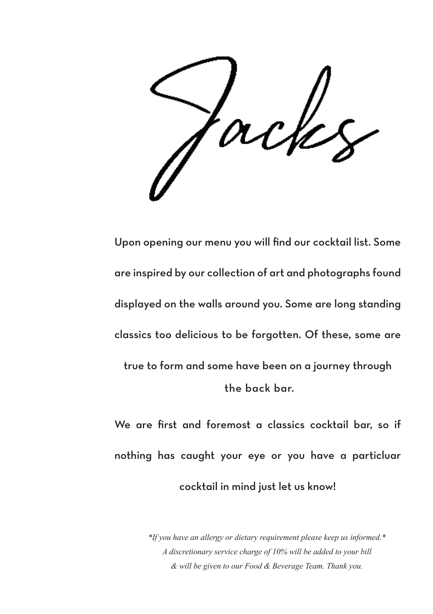Upon opening our menu you will find our cocktail list. Some are inspired by our collection of art and photographs found displayed on the walls around you. Some are long standing classics too delicious to be forgotten. Of these, some are true to form and some have been on a journey through the back bar.

We are first and foremost a classics cocktail bar, so if nothing has caught your eye or you have a particluar cocktail in mind just let us know!

> *\*If you have an allergy or dietary requirement please keep us informed.\* A discretionary service charge of 10% will be added to your bill & will be given to our Food & Beverage Team. Thank you.*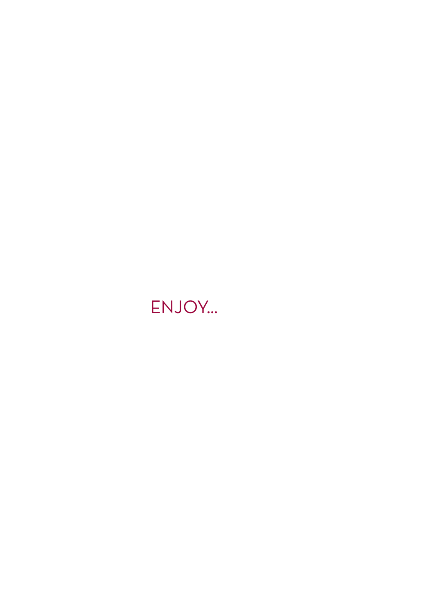### ENJOY...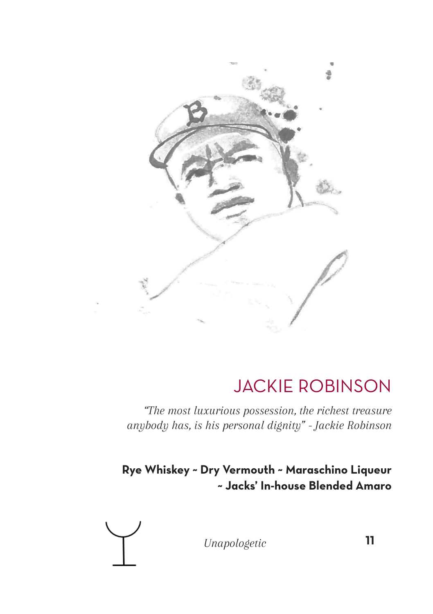

### JACKIE ROBINSON

*"The most luxurious possession, the richest treasure anybody has, is his personal dignity" - Jackie Robinson*

#### **Rye Whiskey ~ Dry Vermouth ~ Maraschino Liqueur ~ Jacks' In-house Blended Amaro**



*Unapologetic* **11**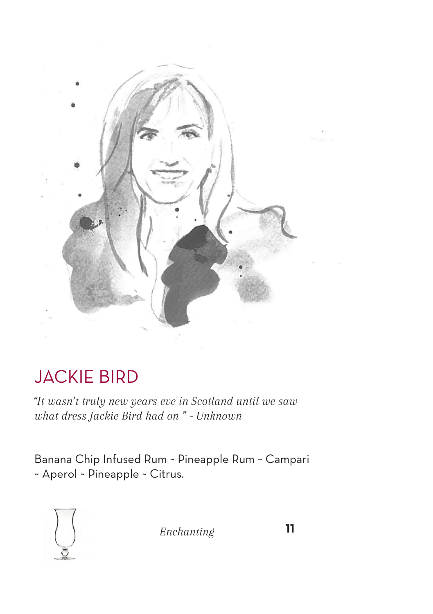

### JACKIE BIRD

*"It wasn't truly new years eve in Scotland until we saw what dress Jackie Bird had on " - Unknown*

Banana Chip Infused Rum ~ Pineapple Rum ~ Campari ~ Aperol ~ Pineapple ~ Citrus.



 *Enchanting* **11**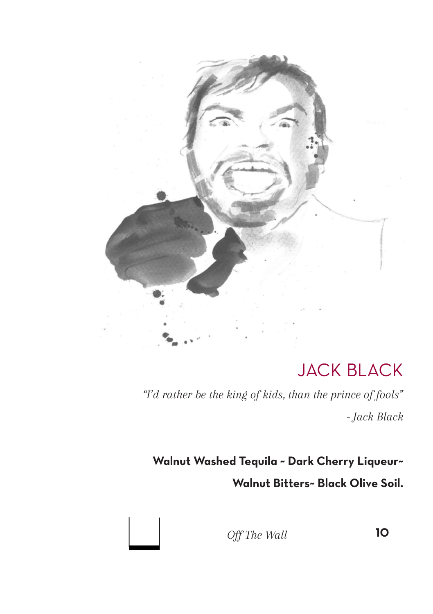

### JACK BLACK

*"I'd rather be the king of kids, than the prince of fools" - Jack Black*

**Walnut Washed Tequila ~ Dark Cherry Liqueur~ Walnut Bitters~ Black Olive Soil.**



*Off The Wall* **10**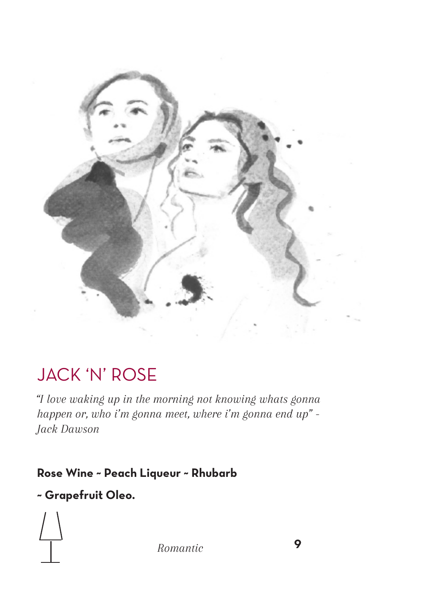

### JACK 'N' ROSE

*"I love waking up in the morning not knowing whats gonna happen or, who i'm gonna meet, where i'm gonna end up" - Jack Dawson*

#### **Rose Wine ~ Peach Liqueur ~ Rhubarb**

#### **~ Grapefruit Oleo.**

*Romantic* **9**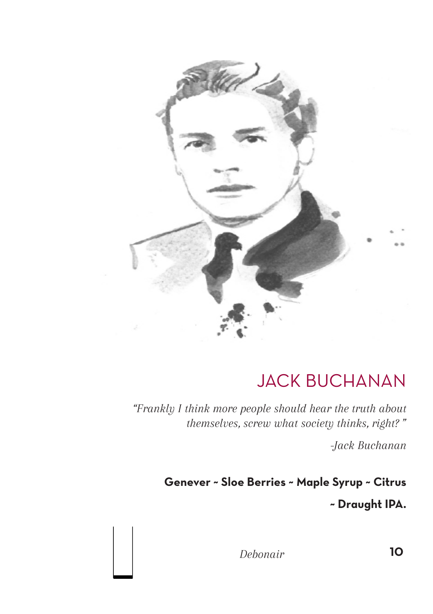

### JACK BUCHANAN

*"Frankly I think more people should hear the truth about themselves, screw what society thinks, right? "* 

*-Jack Buchanan*

**Genever ~ Sloe Berries ~ Maple Syrup ~ Citrus ~ Draught IPA.**

 *Debonair* **10**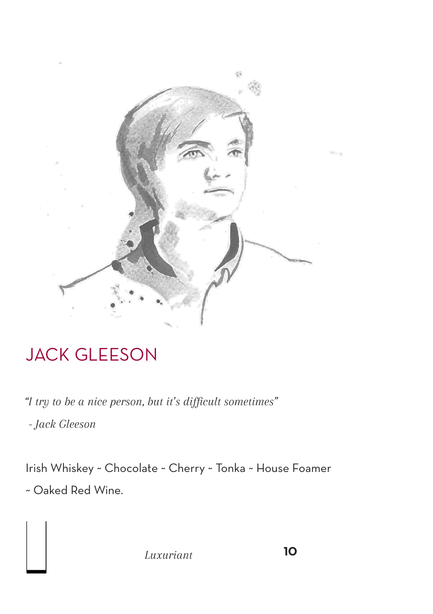

### JACK GLEESON

*"I try to be a nice person, but it's difficult sometimes"*

 *- Jack Gleeson*

Irish Whiskey ~ Chocolate ~ Cherry ~ Tonka ~ House Foamer ~ Oaked Red Wine.

*Luxuriant* **10**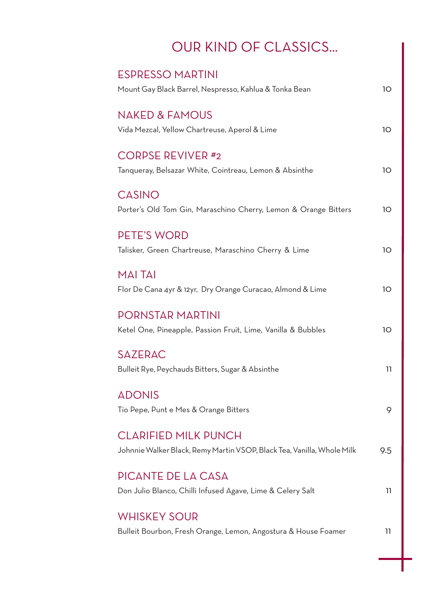### OUR KIND OF CLASSICS...

| <b>FSPRESSO MARTINI</b>                                                |     |
|------------------------------------------------------------------------|-----|
| Mount Gay Black Barrel, Nespresso, Kahlua & Tonka Bean                 | 10  |
|                                                                        |     |
| <b>NAKED &amp; FAMOUS</b>                                              |     |
| Vida Mezcal, Yellow Chartreuse, Aperol & Lime                          | 1O  |
| <b>CORPSE REVIVER #2</b>                                               |     |
|                                                                        |     |
| Tanqueray, Belsazar White, Cointreau, Lemon & Absinthe                 | 10  |
| <b>CASINO</b>                                                          |     |
| Porter's Old Tom Gin, Maraschino Cherry, Lemon & Orange Bitters        | 10  |
|                                                                        |     |
| <b>PETE'S WORD</b>                                                     |     |
| Talisker, Green Chartreuse, Maraschino Cherry & Lime                   | 1O  |
|                                                                        |     |
| <b>MAITAI</b>                                                          |     |
| Flor De Cana 4yr & 12yr, Dry Orange Curacao, Almond & Lime             | 1O  |
|                                                                        |     |
| <b>PORNSTAR MARTINI</b>                                                |     |
| Ketel One, Pineapple, Passion Fruit, Lime, Vanilla & Bubbles           | 10  |
|                                                                        |     |
| <b>SAZERAC</b>                                                         |     |
| Bulleit Rye, Peychauds Bitters, Sugar & Absinthe                       | 11  |
| <b>ADONIS</b>                                                          |     |
|                                                                        |     |
| Tio Pepe, Punt e Mes & Orange Bitters                                  | 9   |
| <b>CLARIFIED MILK PUNCH</b>                                            |     |
| Johnnie Walker Black, Remy Martin VSOP, Black Tea, Vanilla, Whole Milk |     |
|                                                                        | 9.5 |
| PICANTE DE LA CASA                                                     |     |
| Don Julio Blanco, Chilli Infused Agave, Lime & Celery Salt             | 11  |
|                                                                        |     |
| <b>WHISKEY SOUR</b>                                                    |     |
| Bulleit Bourbon, Fresh Orange, Lemon, Angostura & House Foamer         | 11  |
|                                                                        |     |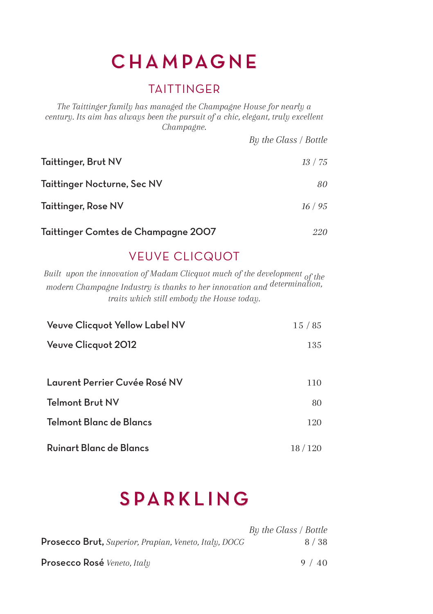### CHAMPAGNE

#### **TAITTINGER**

*The Taittinger family has managed the Champagne House for nearly a century. Its aim has always been the pursuit of a chic, elegant, truly excellent Champagne.* 

|                                     | By the Glass / Bottle |
|-------------------------------------|-----------------------|
| Taittinger, Brut NV                 | 13 / 75               |
| Taittinger Nocturne, Sec NV         | 80                    |
| Taittinger, Rose NV                 | 16/95                 |
| Taittinger Comtes de Champagne 2007 | 220                   |

#### VEUVE CLICQUOT

*Built upon the innovation of Madam Clicquot much of the development of the modern Champagne Industry is thanks to her innovation and determination, traits which still embody the House today.*

| Veuve Clicquot Yellow Label NV | 15/85    |
|--------------------------------|----------|
| Veuve Clicquot 2012            | 135      |
|                                |          |
| Laurent Perrier Cuvée Rosé NV  | 110      |
| Telmont Brut NV                | 80       |
| Telmont Blanc de Blancs        | 120      |
| Ruinart Blanc de Blancs        | 18 / 120 |

### SPARKLING

|                                                              | By the Glass / Bottle |
|--------------------------------------------------------------|-----------------------|
| <b>Prosecco Brut,</b> Superior, Prapian, Veneto, Italy, DOCG | 8 / 38                |
|                                                              |                       |
| <b>Prosecco Rosé</b> Veneto, Italy                           | 9/40                  |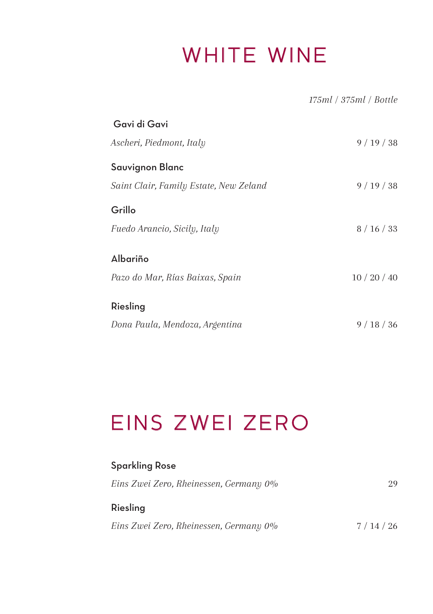## WHITE WINE

 *175ml / 375ml / Bottle*

| Gavi di Gavi                           |          |
|----------------------------------------|----------|
| Ascheri, Piedmont, Italy               | 9/19/38  |
| Sauvignon Blanc                        |          |
| Saint Clair, Family Estate, New Zeland | 9/19/38  |
| Grillo                                 |          |
| Fuedo Arancio, Sicily, Italy           | 8/16/33  |
| Albariño                               |          |
| Pazo do Mar, Rías Baixas, Spain        | 10/20/40 |
| Riesling                               |          |
| Dona Paula, Mendoza, Argentina         | 9/18/36  |

# EINS ZWEI ZERO

| Sparkling Rose                         |         |
|----------------------------------------|---------|
| Eins Zwei Zero, Rheinessen, Germany 0% | 29      |
| Riesling                               |         |
| Eins Zwei Zero, Rheinessen, Germany 0% | 7/14/26 |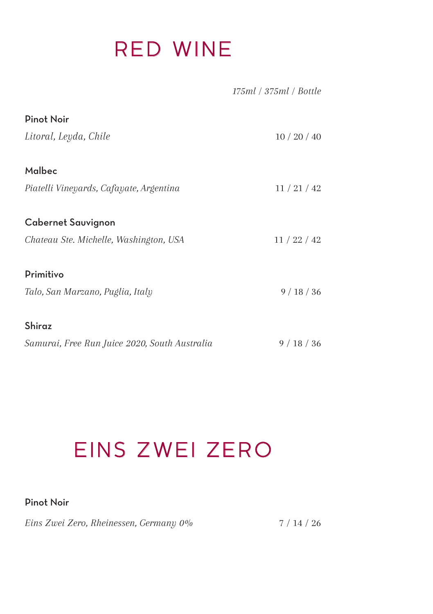## RED WINE

|                                               | 175ml / 375ml / Bottle |
|-----------------------------------------------|------------------------|
| <b>Pinot Noir</b>                             |                        |
| Litoral, Leyda, Chile                         | 10/20/40               |
| Malbec                                        |                        |
| Piatelli Vineyards, Cafayate, Argentina       | 11/21/42               |
| <b>Cabernet Sauvignon</b>                     |                        |
| Chateau Ste. Michelle, Washington, USA        | 11/22/42               |
| Primitivo                                     |                        |
| Talo, San Marzano, Puglia, Italy              | 9/18/36                |
| Shiraz                                        |                        |
| Samurai, Free Run Juice 2020, South Australia | 9/18/36                |

# EINS ZWEI ZERO

#### Pinot Noir

*Eins Zwei Zero, Rheinessen, Germany 0%* 7 / 14 / 26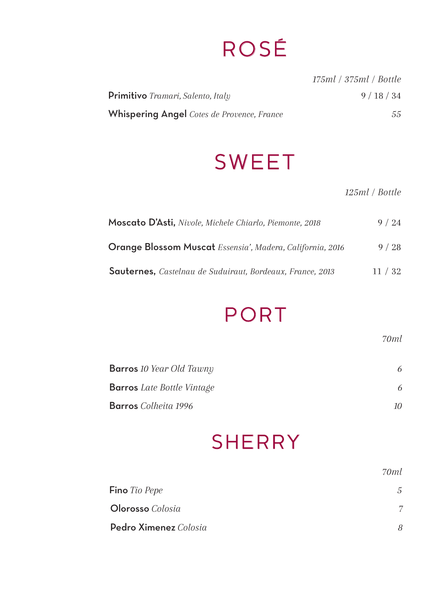## ROSÉ

|                                                   | 175ml / 375ml / Bottle |
|---------------------------------------------------|------------------------|
| <b>Primitivo</b> Tramari, Salento, Italy          | 9/18/34                |
| <b>Whispering Angel</b> Cotes de Provence, France | 55                     |

## SWEET

#### *125ml / Bottle*

| Moscato D'Asti, Nivole, Michele Chiarlo, Piemonte, 2018          | 9/24  |
|------------------------------------------------------------------|-------|
| <b>Orange Blossom Muscat</b> Essensia', Madera, California, 2016 | 9/28  |
| <b>Sauternes.</b> Castelnau de Suduiraut, Bordeaux, France, 2013 | 11/32 |

### PORT

*70ml*

| <b>Barros</b> 10 Year Old Tawny   |    |
|-----------------------------------|----|
| <b>Barros</b> Late Bottle Vintage |    |
| <b>Barros</b> Colheita 1996       | 10 |

### **SHERRY**

|                       | 70ml |
|-----------------------|------|
| Fino Tio Pepe         | 5.   |
| Olorosso Colosia      |      |
| Pedro Ximenez Colosia | 8    |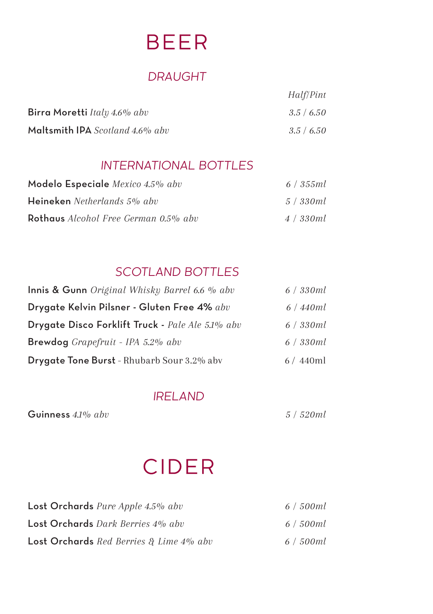## BEER

#### *DRAUGHT*

| Birra Moretti Italy 4.6% abv    | 3.5/6.50 |
|---------------------------------|----------|
| Maltsmith IPA Scotland 4.6% abv | 3.5/6.50 |

#### *INTERNATIONAL BOTTLES*

| Modelo Especiale Mexico 4.5% abv            | 6/355ml    |
|---------------------------------------------|------------|
| Heineken Netherlands 5% abv                 | 5 / 330 ml |
| <b>Rothaus</b> Alcohol Free German 0.5% abv | 4 / 330 ml |

#### *SCOTLAND BOTTLES*

| Innis & Gunn Original Whisky Barrel 6.6 % abv     | 6/330ml |
|---------------------------------------------------|---------|
| Drygate Kelvin Pilsner - Gluten Free 4% abv       | 6/440ml |
| Drygate Disco Forklift Truck - Pale Ale 5.1% abv  | 6/330ml |
| <b>Brewdog</b> Grapefruit - IPA $5.2\%$ abv       | 6/330ml |
| <b>Drygate Tone Burst</b> - Rhubarb Sour 3.2% abv | 6/440ml |

#### *IRELAND*

Guinness *4.1% abv 5 / 520ml*

*Half/Pint*

## CIDER

| Lost Orchards Pure Apple 4.5% abv          | 6 / 500ml |
|--------------------------------------------|-----------|
| Lost Orchards Dark Berries 4% abv          | 6 / 500ml |
| Lost Orchards Red Berries & Lime $4\%$ abv | 6/500ml   |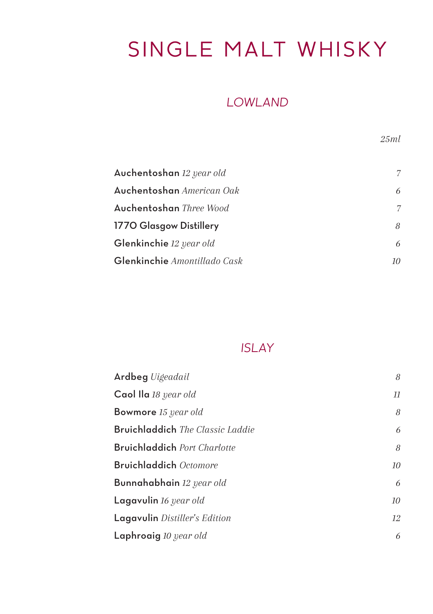# SINGLE MALT WHISKY

#### *LOWLAND*

*25ml*

| Auchentoshan 12 year old         | 7  |
|----------------------------------|----|
| Auchentoshan <i>American Oak</i> | 6  |
| Auchentoshan <i>Three Wood</i>   | 7  |
| 1770 Glasgow Distillery          | 8  |
| <b>Glenkinchie</b> 12 year old   | 6  |
| Glenkinchie Amontillado Cask     | 10 |

#### *ISLAY*

| Ardbeg Uigeadail                               | 8  |
|------------------------------------------------|----|
| Caol Ila 18 year old                           | 11 |
| <b>Bowmore</b> 15 year old                     | 8  |
| <b>Bruichladdich</b> <i>The Classic Laddie</i> | 6  |
| <b>Bruichladdich</b> Port Charlotte            | 8  |
| <b>Bruichladdich</b> Octomore                  | 10 |
| <b>Bunnahabhain</b> 12 year old                | 6  |
| Lagavulin 16 year old                          | 10 |
| Lagavulin Distiller's Edition                  | 12 |
| Laphroaig 10 year old                          | 6  |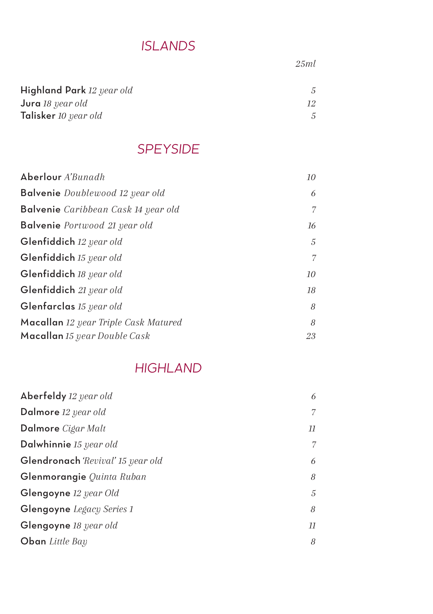### *ISLANDS*

*25ml*

| Highland Park 12 year old |  |
|---------------------------|--|
| <b>Jura</b> 18 year old   |  |
| Talisker 10 year old      |  |

#### *SPEYSIDE*

| Aberlour A'Bunadh                           | 10 |
|---------------------------------------------|----|
| <b>Balvenie</b> Doublewood 12 year old      | 6  |
| <b>Balvenie</b> Caribbean Cask 14 year old  | 7  |
| <b>Balvenie</b> Portwood 21 year old        | 16 |
| Glenfiddich 12 year old                     | 5  |
| Glenfiddich 15 year old                     | 7  |
| Glenfiddich 18 year old                     | 10 |
| Glenfiddich 21 year old                     | 18 |
| Glenfarclas 15 year old                     | 8  |
| <b>Macallan</b> 12 year Triple Cask Matured | 8  |
| Macallan 15 year Double Cask                | 23 |

#### *HIGHLAND*

| Aberfeldy 12 year old             | 6  |
|-----------------------------------|----|
| Dalmore 12 year old               | 7  |
| Dalmore Cigar Malt                | 11 |
| Dalwhinnie 15 year old            | 7  |
| Glendronach 'Revival' 15 year old | 6  |
| Glenmorangie Quinta Ruban         | 8  |
| Glengoyne 12 year Old             | 5  |
| Glengoyne Legacy Series 1         | 8  |
| Glengoyne 18 year old             | 11 |
| <b>Oban</b> Little Bay            | 8  |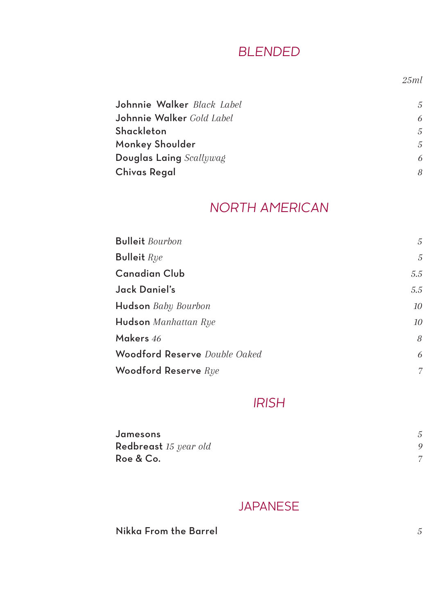#### *BLENDED*

*25ml*

| Johnnie Walker Black Label | 5 |
|----------------------------|---|
| Johnnie Walker Gold Label  | 6 |
| Shackleton                 | 5 |
| Monkey Shoulder            | 5 |
| Douglas Laing Scallywag    | 6 |
| Chivas Regal               | 8 |

#### *NORTH AMERICAN*

| <b>Bulleit</b> Bourbon        | 5   |
|-------------------------------|-----|
| <b>Bulleit</b> Rye            | 5   |
| Canadian Club                 | 5.5 |
| Jack Daniel's                 | 5.5 |
| Hudson Baby Bourbon           | 10  |
| Hudson Manhattan Rye          | 10  |
| Makers 46                     | 8   |
| Woodford Reserve Double Oaked | 6   |
| Woodford Reserve $\emph{Rye}$ | 7   |

#### *IRISH*

| Jamesons              |  |
|-----------------------|--|
| Redbreast 15 year old |  |
| Roe & Co.             |  |

#### JAPANESE

Nikka From the Barrel *5*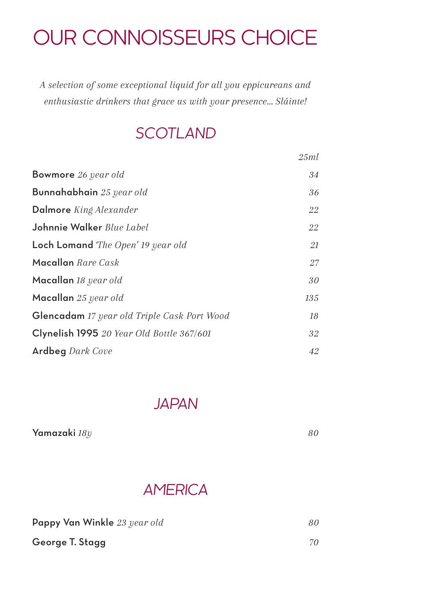## OUR CONNOISSEURS CHOICE

*A selection of some exceptional liquid for all you eppicureans and enthusiastic drinkers that grace us with your presence... Sláinte!*

### *SCOTLAND*

|                                             | 25ml |
|---------------------------------------------|------|
| <b>Bowmore</b> 26 year old                  | 34   |
| Bunnahabhain 25 year old                    | 36   |
| <b>Dalmore</b> King Alexander               | 22   |
| Johnnie Walker Blue Label                   | 22   |
| <b>Loch Lomand</b> The Open' 19 year old    | 21   |
| Macallan Rare Cask                          | 27   |
| Macallan 18 year old                        | 30   |
| Macallan 25 year old                        | 135  |
| Glencadam 17 year old Triple Cask Port Wood | 18   |
| Clynelish 1995 20 Year Old Bottle 367/601   | 32   |
| <b>Ardbeg</b> Dark Cove                     | 42   |

*JAPAN*

| Yamazaki 18v |  |
|--------------|--|
|              |  |

### *AMERICA*

| Pappy Van Winkle 23 year old | 80 |
|------------------------------|----|
| George T. Stagg              | 70 |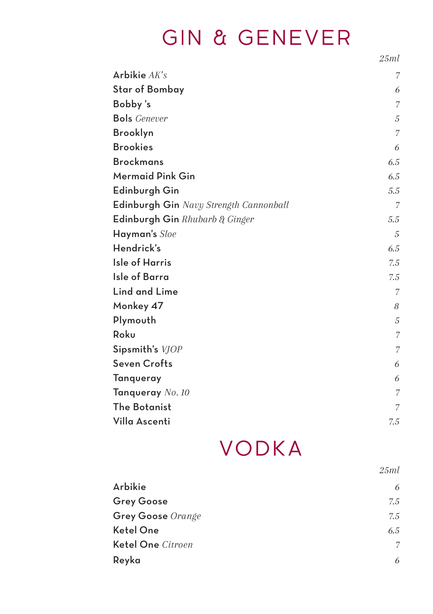# GIN & GENEVER

*25ml*

| Arbikie $AK's$                         | 7              |
|----------------------------------------|----------------|
| <b>Star of Bombay</b>                  | 6              |
| Bobby's                                | 7              |
| <b>Bols</b> Genever                    | 5              |
| Brooklyn                               | 7              |
| <b>Brookies</b>                        | 6              |
| <b>Brockmans</b>                       | 6.5            |
| Mermaid Pink Gin                       | 6.5            |
| Edinburgh Gin                          | 5.5            |
| Edinburgh Gin Navy Strength Cannonball | $\overline{7}$ |
| Edinburgh Gin $Rhubarb \& Ginger$      | 5.5            |
| Hayman's Sloe                          | 5              |
| Hendrick's                             | 6.5            |
| <b>Isle of Harris</b>                  | 7.5            |
| Isle of Barra                          | 7.5            |
| <b>Lind and Lime</b>                   | 7              |
| Monkey 47                              | 8              |
| Plymouth                               | 5              |
| Roku                                   | $\overline{7}$ |
| Sipsmith's VJOP                        | 7              |
| <b>Seven Crofts</b>                    | 6              |
| Tanqueray                              | 6              |
| Tanqueray No. 10                       | 7              |
| The Botanist                           | 7              |
| Villa Ascenti                          | 7.5            |

## VODKA

|                   | 25ml |
|-------------------|------|
| Arbikie           | 6    |
| <b>Grey Goose</b> | 7.5  |
| Grey Goose Orange | 7.5  |
| Ketel One         | 6.5  |
| Ketel One Citroen | 7    |
| Reyka             | 6    |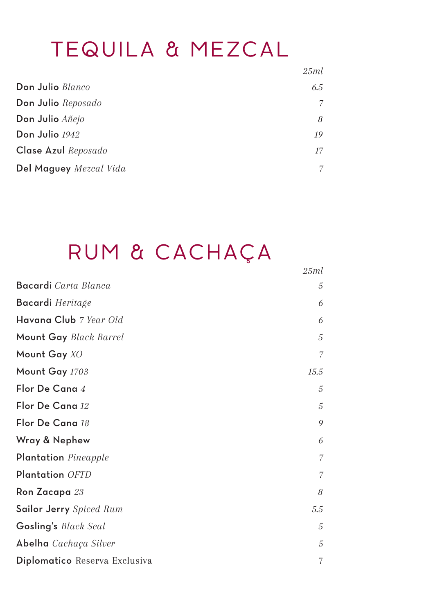### TEQUILA & MEZCAL

|                        | 25ml |
|------------------------|------|
| Don Julio Blanco       | 6.5  |
| Don Julio Reposado     | 7    |
| Don Julio Añejo        | 8    |
| Don Julio $1942\,$     | 19   |
| Clase Azul Reposado    | 17   |
| Del Maguey Mezcal Vida | 7    |

# RUM & CACHAÇA

*25ml*

| <b>Bacardi</b> Carta Blanca   | 5    |
|-------------------------------|------|
| Bacardi Heritage              | 6    |
| Havana Club 7 Year Old        | 6    |
| Mount Gay Black Barrel        | 5    |
| Mount Gay XO                  | 7    |
| Mount Gay 1703                | 15.5 |
| Flor De Cana 4                | 5    |
| Flor De Cana 12               | 5    |
| Flor De Cana 18               | 9    |
| Wray & Nephew                 | 6    |
| Plantation Pineapple          | 7    |
| Plantation OFTD               | 7    |
| Ron Zacapa 23                 | 8    |
| Sailor Jerry Spiced Rum       | 5.5  |
| Gosling's Black Seal          | 5    |
| Abelha Cachaça Silver         | 5    |
| Diplomatico Reserva Exclusiva | 7    |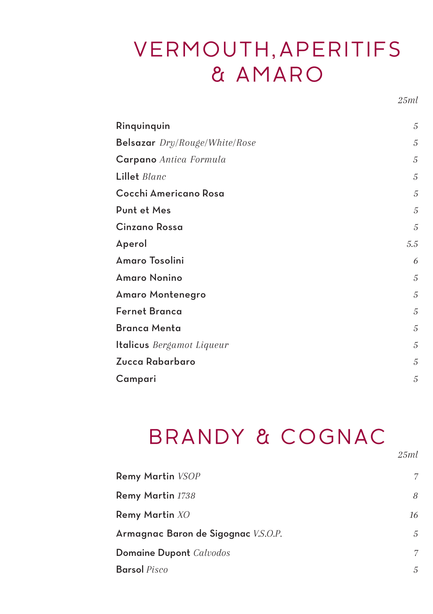## VERMOUTH, APERITIFS & AMARO

*25ml*

*25ml*

| Rinquinquin                      | 5   |
|----------------------------------|-----|
| Belsazar Dry/Rouge/White/Rose    | 5   |
| Carpano Antica Formula           | 5   |
| Lillet Blanc                     | 5   |
| Cocchi Americano Rosa            | 5   |
| Punt et Mes                      | 5   |
| Cinzano Rossa                    | 5   |
| Aperol                           | 5.5 |
| Amaro Tosolini                   | 6   |
| Amaro Nonino                     | 5   |
| Amaro Montenegro                 | 5   |
| <b>Fernet Branca</b>             | 5   |
| <b>Branca Menta</b>              | 5   |
| <b>Italicus</b> Bergamot Liqueur | 5   |
| Zucca Rabarbaro                  | 5   |
| Campari                          | 5   |

# BRANDY & COGNAC

| Remy Martin VSOP                    | 7  |
|-------------------------------------|----|
| Remy Martin 1738                    | 8  |
| Remy Martin XO                      | 16 |
| Armagnac Baron de Sigognac V.S.O.P. | 5  |
| Domaine Dupont Calvodos             | 7  |
| <b>Barsol</b> Pisco                 | 5  |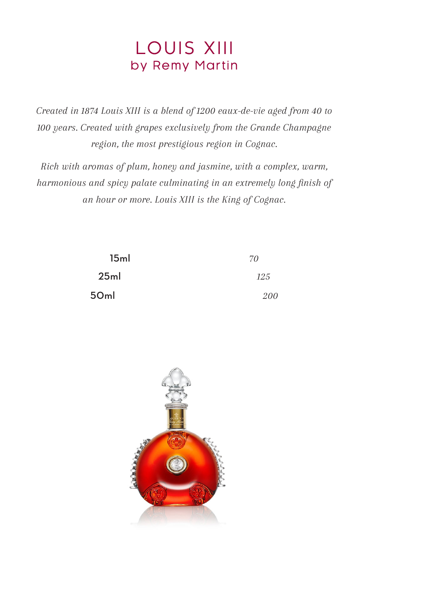### LOUIS XIII by Remy Martin

*Created in 1874 Louis XIII is a blend of 1200 eaux-de-vie aged from 40 to 100 years. Created with grapes exclusively from the Grande Champagne region, the most prestigious region in Cognac.*

*Rich with aromas of plum, honey and jasmine, with a complex, warm, harmonious and spicy palate culminating in an extremely long finish of an hour or more. Louis XIII is the King of Cognac.*

| 15 <sub>ml</sub> | 70  |
|------------------|-----|
| 25ml             | 125 |
| 50ml             | 200 |

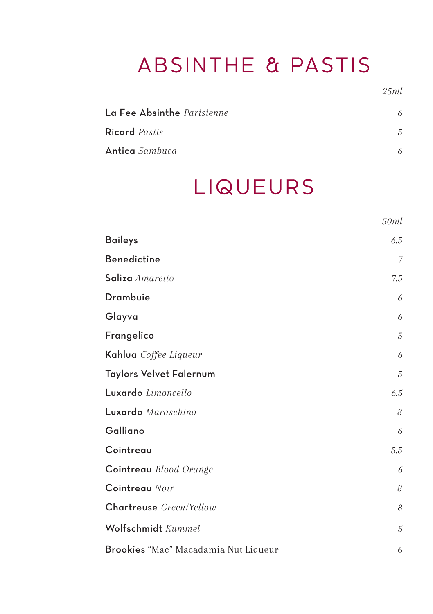# ABSINTHE & PASTIS

*25ml*

*50ml*

| La Fee Absinthe Parisienne |  |
|----------------------------|--|
| <b>Ricard</b> Pastis       |  |
| Antica Sambuca             |  |

## **LIQUEURS**

| <b>Baileys</b>                       | 6.5 |
|--------------------------------------|-----|
| <b>Benedictine</b>                   | 7   |
| Saliza Amaretto                      | 7.5 |
| Drambuie                             | 6   |
| Glayva                               | 6   |
| Frangelico                           | 5   |
| Kahlua Coffee Liqueur                | 6   |
| Taylors Velvet Falernum              | 5   |
| Luxardo Limoncello                   | 6.5 |
| Luxardo Maraschino                   | 8   |
| Galliano                             | 6   |
| Cointreau                            | 5.5 |
| Cointreau Blood Orange               | 6   |
| Cointreau Noir                       | 8   |
| Chartreuse Green/Yellow              | 8   |
| Wolfschmidt Kummel                   | 5   |
| Brookies "Mac" Macadamia Nut Liqueur | 6   |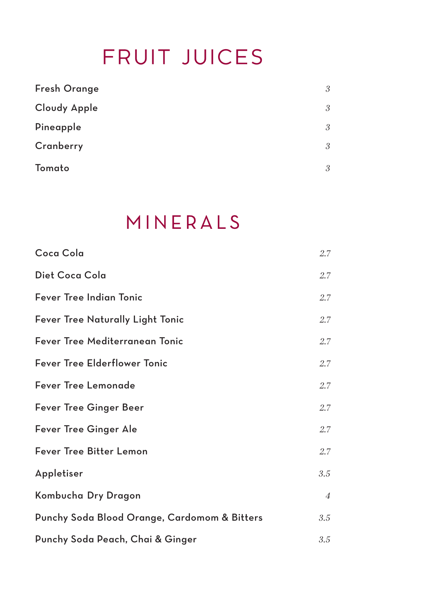## FRUIT JUICES

| <b>Fresh Orange</b> | 3 |
|---------------------|---|
| Cloudy Apple        | 3 |
| Pineapple           | 3 |
| Cranberry           | 3 |
| Tomato              | 3 |

### MINERALS

| Coca Cola                                    | 2.7            |
|----------------------------------------------|----------------|
| Diet Coca Cola                               | 2.7            |
| Fever Tree Indian Tonic                      | 2.7            |
| <b>Fever Tree Naturally Light Tonic</b>      | $2.7^{\circ}$  |
| Fever Tree Mediterranean Tonic               | 2.7            |
| <b>Fever Tree Elderflower Tonic</b>          | 2.7            |
| <b>Fever Tree Lemonade</b>                   | 2.7            |
| Fever Tree Ginger Beer                       | $2.7^{\circ}$  |
| Fever Tree Ginger Ale                        | $2.7^{\circ}$  |
| Fever Tree Bitter Lemon                      | 2.7            |
| Appletiser                                   | 3.5            |
| Kombucha Dry Dragon                          | $\overline{4}$ |
| Punchy Soda Blood Orange, Cardomom & Bitters | 3.5            |
| Punchy Soda Peach, Chai & Ginger             | 3.5            |